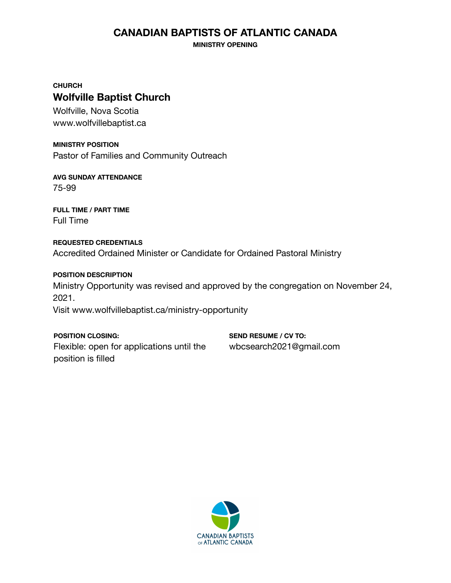# **CANADIAN BAPTISTS OF ATLANTIC CANADA**

**MINISTRY OPENING**

**CHURCH Wolfville Baptist Church**

Wolfville, Nova Scotia www.wolfvillebaptist.ca

**MINISTRY POSITION** Pastor of Families and Community Outreach

**AVG SUNDAY ATTENDANCE** 75-99

**FULL TIME / PART TIME** Full Time

**REQUESTED CREDENTIALS** Accredited Ordained Minister or Candidate for Ordained Pastoral Ministry

**POSITION DESCRIPTION** Ministry Opportunity was revised and approved by the congregation on November 24, 2021. Visit www.wolfvillebaptist.ca/ministry-opportunity

**POSITION CLOSING:** Flexible: open for applications until the position is filled

**SEND RESUME / CV TO:** wbcsearch2021@gmail.com

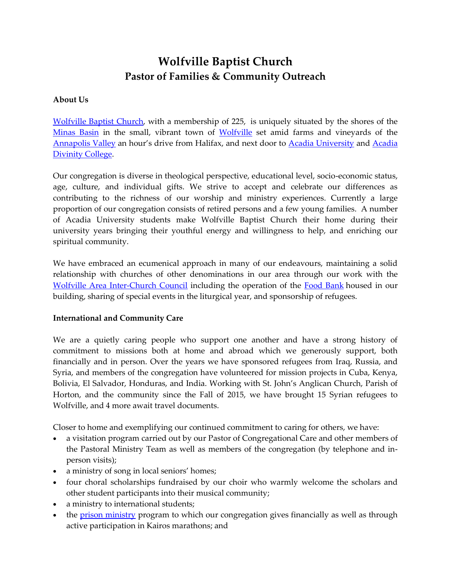# **Wolfville Baptist Church Pastor of Families & Community Outreach**

#### **About Us**

[Wolfville Baptist Church,](http://www.wolfvillebaptist.ca/) with a membership of 225, is uniquely situated by the shores of the [Minas Basin](https://en.wikipedia.org/wiki/Minas_Basin) in the small, vibrant town of [Wolfville](https://www.wolfville.ca/) set amid farms and vineyards of the [Annapolis Valley](https://en.wikipedia.org/wiki/Annapolis_Valley) an hour's drive from Halifax, and next door to [Acadia University](http://www.acadiau.ca/) and [Acadia](http://www.acadiadiv.ca/)  [Divinity College.](http://www.acadiadiv.ca/)

Our congregation is diverse in theological perspective, educational level, socio-economic status, age, culture, and individual gifts. We strive to accept and celebrate our differences as contributing to the richness of our worship and ministry experiences. Currently a large proportion of our congregation consists of retired persons and a few young families. A number of Acadia University students make Wolfville Baptist Church their home during their university years bringing their youthful energy and willingness to help, and enriching our spiritual community.

We have embraced an ecumenical approach in many of our endeavours, maintaining a solid relationship with churches of other denominations in our area through our work with the [Wolfville Area Inter-Church Council](http://www.waicc.org/) including the operation of the [Food Bank](http://www.waicc.org/food-bank) housed in our building, sharing of special events in the liturgical year, and sponsorship of refugees.

## **International and Community Care**

We are a quietly caring people who support one another and have a strong history of commitment to missions both at home and abroad which we generously support, both financially and in person. Over the years we have sponsored refugees from Iraq, Russia, and Syria, and members of the congregation have volunteered for mission projects in Cuba, Kenya, Bolivia, El Salvador, Honduras, and India. Working with St. John's Anglican Church, Parish of Horton, and the community since the Fall of 2015, we have brought 15 Syrian refugees to Wolfville, and 4 more await travel documents.

Closer to home and exemplifying our continued commitment to caring for others, we have:

- a visitation program carried out by our Pastor of Congregational Care and other members of the Pastoral Ministry Team as well as members of the congregation (by telephone and inperson visits);
- a ministry of song in local seniors' homes;
- four choral scholarships fundraised by our choir who warmly welcome the scholars and other student participants into their musical community;
- a ministry to international students;
- the [prison ministry](https://concilioprisonministry.org/kairos-marrathons/) program to which our congregation gives financially as well as through active participation in Kairos marathons; and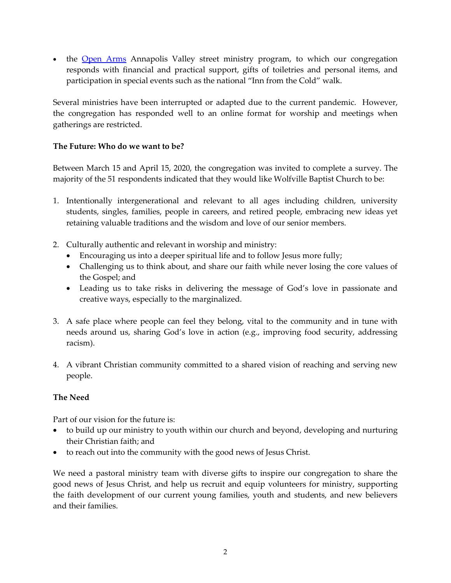• the [Open](https://openarms.ca/) Arms Annapolis Valley street ministry program, to which our congregation responds with financial and practical support, gifts of toiletries and personal items, and participation in special events such as the national "Inn from the Cold" walk.

Several ministries have been interrupted or adapted due to the current pandemic. However, the congregation has responded well to an online format for worship and meetings when gatherings are restricted.

## **The Future: Who do we want to be?**

Between March 15 and April 15, 2020, the congregation was invited to complete a survey. The majority of the 51 respondents indicated that they would like Wolfville Baptist Church to be:

- 1. Intentionally intergenerational and relevant to all ages including children, university students, singles, families, people in careers, and retired people, embracing new ideas yet retaining valuable traditions and the wisdom and love of our senior members.
- 2. Culturally authentic and relevant in worship and ministry:
	- Encouraging us into a deeper spiritual life and to follow Jesus more fully;
	- Challenging us to think about, and share our faith while never losing the core values of the Gospel; and
	- Leading us to take risks in delivering the message of God's love in passionate and creative ways, especially to the marginalized.
- 3. A safe place where people can feel they belong, vital to the community and in tune with needs around us, sharing God's love in action (e.g., improving food security, addressing racism).
- 4. A vibrant Christian community committed to a shared vision of reaching and serving new people.

## **The Need**

Part of our vision for the future is:

- to build up our ministry to youth within our church and beyond, developing and nurturing their Christian faith; and
- to reach out into the community with the good news of Jesus Christ.

We need a pastoral ministry team with diverse gifts to inspire our congregation to share the good news of Jesus Christ, and help us recruit and equip volunteers for ministry, supporting the faith development of our current young families, youth and students, and new believers and their families.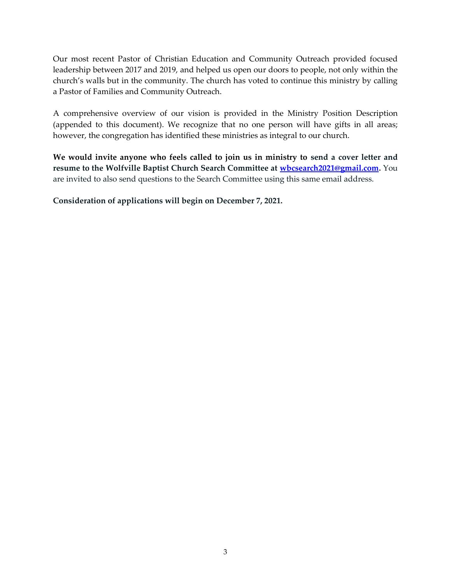Our most recent Pastor of Christian Education and Community Outreach provided focused leadership between 2017 and 2019, and helped us open our doors to people, not only within the church's walls but in the community. The church has voted to continue this ministry by calling a Pastor of Families and Community Outreach.

A comprehensive overview of our vision is provided in the Ministry Position Description (appended to this document). We recognize that no one person will have gifts in all areas; however, the congregation has identified these ministries as integral to our church.

**We would invite anyone who feels called to join us in ministry to send a cover letter and resume to the Wolfville Baptist Church Search Committee at [wbcsearch2021@gmail.com.](mailto:wbcsearch2021@gmail.com)** You are invited to also send questions to the Search Committee using this same email address.

**Consideration of applications will begin on December 7, 2021.**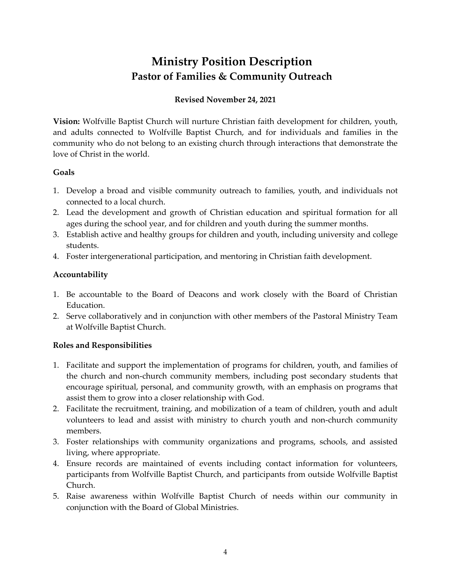# **Ministry Position Description Pastor of Families & Community Outreach**

# **Revised November 24, 2021**

**Vision:** Wolfville Baptist Church will nurture Christian faith development for children, youth, and adults connected to Wolfville Baptist Church, and for individuals and families in the community who do not belong to an existing church through interactions that demonstrate the love of Christ in the world.

#### **Goals**

- 1. Develop a broad and visible community outreach to families, youth, and individuals not connected to a local church.
- 2. Lead the development and growth of Christian education and spiritual formation for all ages during the school year, and for children and youth during the summer months.
- 3. Establish active and healthy groups for children and youth, including university and college students.
- 4. Foster intergenerational participation, and mentoring in Christian faith development.

## **Accountability**

- 1. Be accountable to the Board of Deacons and work closely with the Board of Christian Education.
- 2. Serve collaboratively and in conjunction with other members of the Pastoral Ministry Team at Wolfville Baptist Church.

## **Roles and Responsibilities**

- 1. Facilitate and support the implementation of programs for children, youth, and families of the church and non-church community members, including post secondary students that encourage spiritual, personal, and community growth, with an emphasis on programs that assist them to grow into a closer relationship with God.
- 2. Facilitate the recruitment, training, and mobilization of a team of children, youth and adult volunteers to lead and assist with ministry to church youth and non-church community members.
- 3. Foster relationships with community organizations and programs, schools, and assisted living, where appropriate.
- 4. Ensure records are maintained of events including contact information for volunteers, participants from Wolfville Baptist Church, and participants from outside Wolfville Baptist Church.
- 5. Raise awareness within Wolfville Baptist Church of needs within our community in conjunction with the Board of Global Ministries.